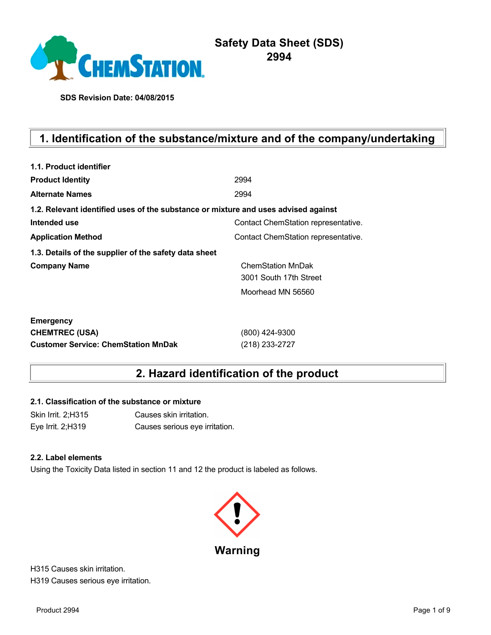

# **Safety Data Sheet (SDS) 2994**

**SDS Revision Date: 04/08/2015**

# **1. Identification of the substance/mixture and of the company/undertaking**

| 1.1. Product identifier                                                            |                                     |
|------------------------------------------------------------------------------------|-------------------------------------|
| <b>Product Identity</b>                                                            | 2994                                |
| <b>Alternate Names</b>                                                             | 2994                                |
| 1.2. Relevant identified uses of the substance or mixture and uses advised against |                                     |
| Intended use                                                                       | Contact ChemStation representative. |
| <b>Application Method</b>                                                          | Contact ChemStation representative. |
| 1.3. Details of the supplier of the safety data sheet                              |                                     |
| <b>Company Name</b>                                                                | <b>ChemStation MnDak</b>            |
|                                                                                    | 3001 South 17th Street              |
|                                                                                    | Moorhead MN 56560                   |
| <b>Emergency</b>                                                                   |                                     |
| <b>CHEMTREC (USA)</b>                                                              | (800) 424-9300                      |
| <b>Customer Service: ChemStation MnDak</b>                                         | (218) 233-2727                      |

# **2. Hazard identification of the product**

#### **2.1. Classification of the substance or mixture**

Skin Irrit. 2;H315 Causes skin irritation. Eye Irrit. 2;H319 Causes serious eye irritation.

#### **2.2. Label elements**

Using the Toxicity Data listed in section 11 and 12 the product is labeled as follows.



H315 Causes skin irritation. H319 Causes serious eye irritation.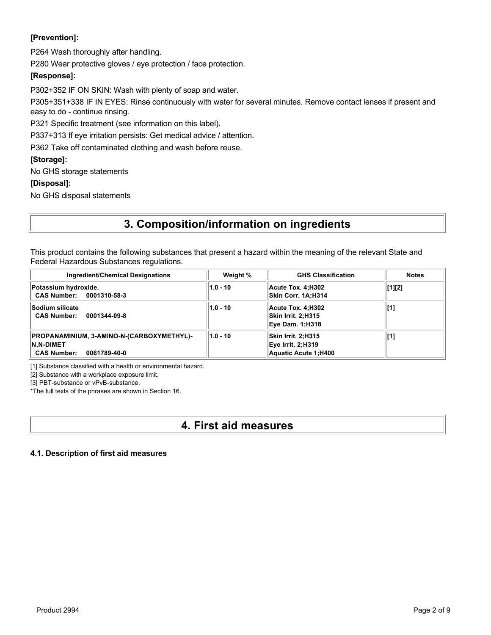### **[Prevention]:**

P264 Wash thoroughly after handling.

P280 Wear protective gloves / eye protection / face protection.

### **[Response]:**

P302+352 IF ON SKIN: Wash with plenty of soap and water.

P305+351+338 IF IN EYES: Rinse continuously with water for several minutes. Remove contact lenses if present and easy to do - continue rinsing.

P321 Specific treatment (see information on this label).

P337+313 If eye irritation persists: Get medical advice / attention.

P362 Take off contaminated clothing and wash before reuse.

### **[Storage]:**

No GHS storage statements

### **[Disposal]:**

No GHS disposal statements

# **3. Composition/information on ingredients**

This product contains the following substances that present a hazard within the meaning of the relevant State and Federal Hazardous Substances regulations.

| <b>Ingredient/Chemical Designations</b>                                                             | Weight %   | <b>GHS Classification</b>                                               | <b>Notes</b> |
|-----------------------------------------------------------------------------------------------------|------------|-------------------------------------------------------------------------|--------------|
| Potassium hydroxide.<br><b>CAS Number:</b><br>0001310-58-3                                          | $1.0 - 10$ | Acute Tox. 4:H302<br>Skin Corr. 1A:H314                                 | [1][2]       |
| <b>Sodium silicate</b><br><b>CAS Number:</b><br>0001344-09-8                                        | $1.0 - 10$ | Acute Tox. 4:H302<br>Skin Irrit. 2:H315<br><b>Eye Dam. 1:H318</b>       | [1]          |
| PROPANAMINIUM, 3-AMINO-N-(CARBOXYMETHYL)-<br><b>N.N-DIMET</b><br><b>CAS Number:</b><br>0061789-40-0 | $1.0 - 10$ | Skin Irrit. 2;H315<br><b>Eye Irrit. 2:H319</b><br>Aquatic Acute 1; H400 | [1]          |

[1] Substance classified with a health or environmental hazard.

[2] Substance with a workplace exposure limit.

[3] PBT-substance or vPvB-substance.

\*The full texts of the phrases are shown in Section 16.

# **4. First aid measures**

#### **4.1. Description of first aid measures**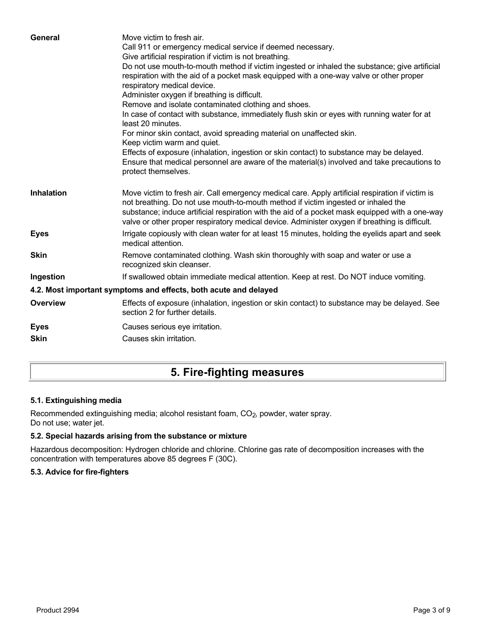| General           | Move victim to fresh air.<br>Call 911 or emergency medical service if deemed necessary.<br>Give artificial respiration if victim is not breathing.<br>Do not use mouth-to-mouth method if victim ingested or inhaled the substance; give artificial<br>respiration with the aid of a pocket mask equipped with a one-way valve or other proper<br>respiratory medical device.<br>Administer oxygen if breathing is difficult.<br>Remove and isolate contaminated clothing and shoes.<br>In case of contact with substance, immediately flush skin or eyes with running water for at<br>least 20 minutes.<br>For minor skin contact, avoid spreading material on unaffected skin.<br>Keep victim warm and quiet.<br>Effects of exposure (inhalation, ingestion or skin contact) to substance may be delayed.<br>Ensure that medical personnel are aware of the material(s) involved and take precautions to<br>protect themselves. |
|-------------------|-----------------------------------------------------------------------------------------------------------------------------------------------------------------------------------------------------------------------------------------------------------------------------------------------------------------------------------------------------------------------------------------------------------------------------------------------------------------------------------------------------------------------------------------------------------------------------------------------------------------------------------------------------------------------------------------------------------------------------------------------------------------------------------------------------------------------------------------------------------------------------------------------------------------------------------|
| <b>Inhalation</b> | Move victim to fresh air. Call emergency medical care. Apply artificial respiration if victim is<br>not breathing. Do not use mouth-to-mouth method if victim ingested or inhaled the<br>substance; induce artificial respiration with the aid of a pocket mask equipped with a one-way<br>valve or other proper respiratory medical device. Administer oxygen if breathing is difficult.                                                                                                                                                                                                                                                                                                                                                                                                                                                                                                                                         |
| <b>Eyes</b>       | Irrigate copiously with clean water for at least 15 minutes, holding the eyelids apart and seek<br>medical attention.                                                                                                                                                                                                                                                                                                                                                                                                                                                                                                                                                                                                                                                                                                                                                                                                             |
| <b>Skin</b>       | Remove contaminated clothing. Wash skin thoroughly with soap and water or use a<br>recognized skin cleanser.                                                                                                                                                                                                                                                                                                                                                                                                                                                                                                                                                                                                                                                                                                                                                                                                                      |
| Ingestion         | If swallowed obtain immediate medical attention. Keep at rest. Do NOT induce vomiting.                                                                                                                                                                                                                                                                                                                                                                                                                                                                                                                                                                                                                                                                                                                                                                                                                                            |
|                   | 4.2. Most important symptoms and effects, both acute and delayed                                                                                                                                                                                                                                                                                                                                                                                                                                                                                                                                                                                                                                                                                                                                                                                                                                                                  |
| <b>Overview</b>   | Effects of exposure (inhalation, ingestion or skin contact) to substance may be delayed. See<br>section 2 for further details.                                                                                                                                                                                                                                                                                                                                                                                                                                                                                                                                                                                                                                                                                                                                                                                                    |
| <b>Eyes</b>       | Causes serious eye irritation.                                                                                                                                                                                                                                                                                                                                                                                                                                                                                                                                                                                                                                                                                                                                                                                                                                                                                                    |
| <b>Skin</b>       | Causes skin irritation.                                                                                                                                                                                                                                                                                                                                                                                                                                                                                                                                                                                                                                                                                                                                                                                                                                                                                                           |
|                   |                                                                                                                                                                                                                                                                                                                                                                                                                                                                                                                                                                                                                                                                                                                                                                                                                                                                                                                                   |

# **5. Fire-fighting measures**

### **5.1. Extinguishing media**

Recommended extinguishing media; alcohol resistant foam, CO<sub>2</sub>, powder, water spray. Do not use; water jet.

### **5.2. Special hazards arising from the substance or mixture**

Hazardous decomposition: Hydrogen chloride and chlorine. Chlorine gas rate of decomposition increases with the concentration with temperatures above 85 degrees F (30C).

#### **5.3. Advice for fire-fighters**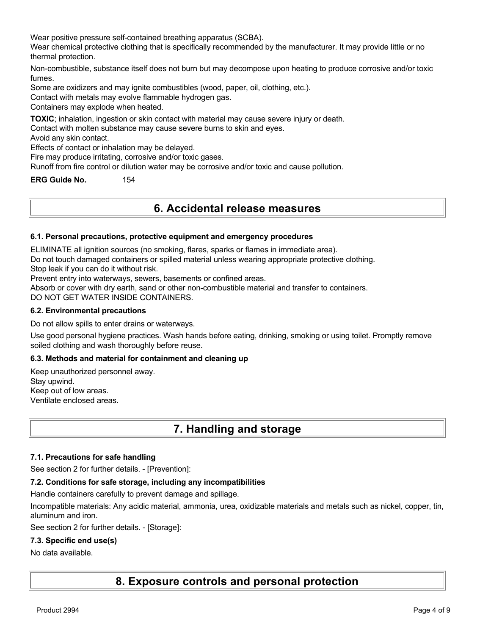Wear positive pressure self-contained breathing apparatus (SCBA).

Wear chemical protective clothing that is specifically recommended by the manufacturer. It may provide little or no thermal protection.

Non-combustible, substance itself does not burn but may decompose upon heating to produce corrosive and/or toxic fumes.

Some are oxidizers and may ignite combustibles (wood, paper, oil, clothing, etc.).

Contact with metals may evolve flammable hydrogen gas.

Containers may explode when heated.

**TOXIC**; inhalation, ingestion or skin contact with material may cause severe injury or death.

Contact with molten substance may cause severe burns to skin and eyes.

Avoid any skin contact.

Effects of contact or inhalation may be delayed.

Fire may produce irritating, corrosive and/or toxic gases.

Runoff from fire control or dilution water may be corrosive and/or toxic and cause pollution.

**ERG Guide No.** 154

## **6. Accidental release measures**

#### **6.1. Personal precautions, protective equipment and emergency procedures**

ELIMINATE all ignition sources (no smoking, flares, sparks or flames in immediate area).

Do not touch damaged containers or spilled material unless wearing appropriate protective clothing.

Stop leak if you can do it without risk.

Prevent entry into waterways, sewers, basements or confined areas.

Absorb or cover with dry earth, sand or other non-combustible material and transfer to containers.

DO NOT GET WATER INSIDE CONTAINERS.

#### **6.2. Environmental precautions**

Do not allow spills to enter drains or waterways.

Use good personal hygiene practices. Wash hands before eating, drinking, smoking or using toilet. Promptly remove soiled clothing and wash thoroughly before reuse.

#### **6.3. Methods and material for containment and cleaning up**

Keep unauthorized personnel away. Stay upwind. Keep out of low areas. Ventilate enclosed areas.

## **7. Handling and storage**

#### **7.1. Precautions for safe handling**

See section 2 for further details. - [Prevention]:

#### **7.2. Conditions for safe storage, including any incompatibilities**

Handle containers carefully to prevent damage and spillage.

Incompatible materials: Any acidic material, ammonia, urea, oxidizable materials and metals such as nickel, copper, tin, aluminum and iron.

See section 2 for further details. - [Storage]:

#### **7.3. Specific end use(s)**

#### No data available.

**8. Exposure controls and personal protection**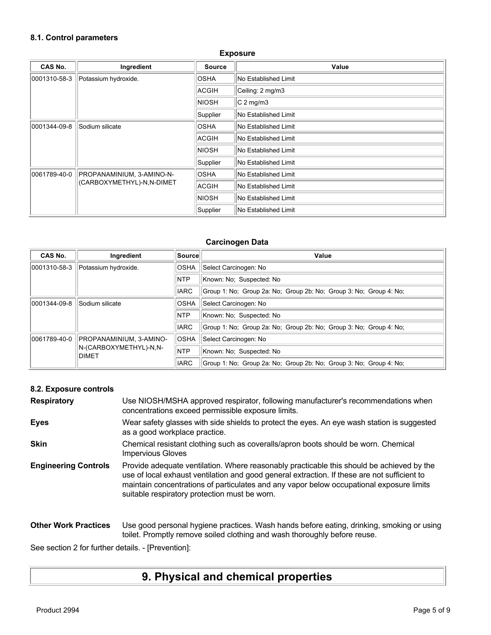#### **8.1. Control parameters**

#### **Exposure**

| <b>CAS No.</b>                                                         | Ingredient           | <b>Source</b>        | Value                |
|------------------------------------------------------------------------|----------------------|----------------------|----------------------|
| 0001310-58-3                                                           | Potassium hydroxide. | <b>OSHA</b>          | No Established Limit |
|                                                                        |                      | ACGIH                | Ceiling: 2 mg/m3     |
|                                                                        |                      | <b>NIOSH</b>         | $C2$ mg/m3           |
|                                                                        |                      | Supplier             | No Established Limit |
| 0001344-09-8                                                           | Sodium silicate      | <b>OSHA</b>          | No Established Limit |
|                                                                        | ACGIH                | No Established Limit |                      |
|                                                                        |                      | <b>NIOSH</b>         | No Established Limit |
|                                                                        |                      | Supplier             | No Established Limit |
| 0061789-40-0<br>PROPANAMINIUM, 3-AMINO-N-<br>(CARBOXYMETHYL)-N,N-DIMET | <b>OSHA</b>          | No Established Limit |                      |
|                                                                        | ACGIH                | No Established Limit |                      |
|                                                                        |                      | <b>NIOSH</b>         | No Established Limit |
|                                                                        |                      | Supplier             | No Established Limit |

#### **Carcinogen Data**

| CAS No.      | Ingredient                      | Sourcel     | Value                                                              |
|--------------|---------------------------------|-------------|--------------------------------------------------------------------|
| 0001310-58-3 | Potassium hydroxide.            | <b>OSHA</b> | Select Carcinogen: No                                              |
|              |                                 | <b>NTP</b>  | Known: No: Suspected: No                                           |
|              |                                 | <b>IARC</b> | Group 1: No: Group 2a: No: Group 2b: No: Group 3: No: Group 4: No: |
| 0001344-09-8 | Sodium silicate                 | <b>OSHA</b> | Select Carcinogen: No                                              |
|              |                                 | <b>NTP</b>  | Known: No: Suspected: No                                           |
|              |                                 | <b>IARC</b> | Group 1: No: Group 2a: No: Group 2b: No: Group 3: No: Group 4: No: |
| 0061789-40-0 | PROPANAMINIUM, 3-AMINO-         | <b>OSHA</b> | Select Carcinogen: No                                              |
|              | N-(CARBOXYMETHYL)-N.N-<br>DIMET | <b>NTP</b>  | Known: No: Suspected: No                                           |
|              |                                 | <b>IARC</b> | Group 1: No; Group 2a: No; Group 2b: No; Group 3: No; Group 4: No; |

#### **8.2. Exposure controls**

| <b>Respiratory</b>          | Use NIOSH/MSHA approved respirator, following manufacturer's recommendations when<br>concentrations exceed permissible exposure limits.                                                                                                                                                                                                |
|-----------------------------|----------------------------------------------------------------------------------------------------------------------------------------------------------------------------------------------------------------------------------------------------------------------------------------------------------------------------------------|
| <b>Eyes</b>                 | Wear safety glasses with side shields to protect the eyes. An eye wash station is suggested<br>as a good workplace practice.                                                                                                                                                                                                           |
| <b>Skin</b>                 | Chemical resistant clothing such as coveralls/apron boots should be worn. Chemical<br><b>Impervious Gloves</b>                                                                                                                                                                                                                         |
| <b>Engineering Controls</b> | Provide adequate ventilation. Where reasonably practicable this should be achieved by the<br>use of local exhaust ventilation and good general extraction. If these are not sufficient to<br>maintain concentrations of particulates and any vapor below occupational exposure limits<br>suitable respiratory protection must be worn. |
| <b>Other Work Practices</b> | Use good personal hygiene practices. Wash hands before eating, drinking, smoking or using<br>toilet. Promptly remove soiled clothing and wash thoroughly before reuse.                                                                                                                                                                 |

See section 2 for further details. - [Prevention]:

# **9. Physical and chemical properties**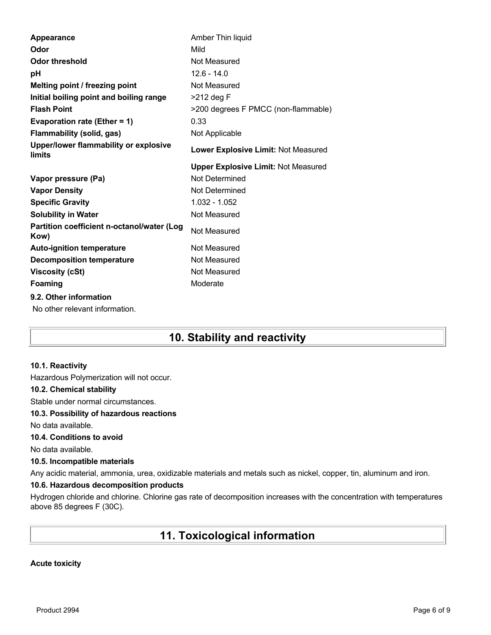| Appearance                                         | Amber Thin liquid                          |
|----------------------------------------------------|--------------------------------------------|
| Odor                                               | Mild                                       |
| <b>Odor threshold</b>                              | Not Measured                               |
| рH                                                 | $12.6 - 14.0$                              |
| Melting point / freezing point                     | Not Measured                               |
| Initial boiling point and boiling range            | $>212$ deg F                               |
| <b>Flash Point</b>                                 | >200 degrees F PMCC (non-flammable)        |
| Evaporation rate (Ether = 1)                       | 0.33                                       |
| <b>Flammability (solid, gas)</b>                   | Not Applicable                             |
| Upper/lower flammability or explosive<br>limits    | Lower Explosive Limit: Not Measured        |
|                                                    | <b>Upper Explosive Limit: Not Measured</b> |
| Vapor pressure (Pa)                                | Not Determined                             |
| <b>Vapor Density</b>                               | Not Determined                             |
| <b>Specific Gravity</b>                            | $1.032 - 1.052$                            |
| <b>Solubility in Water</b>                         | Not Measured                               |
| Partition coefficient n-octanol/water (Log<br>Kow) | Not Measured                               |
| <b>Auto-ignition temperature</b>                   | Not Measured                               |
| <b>Decomposition temperature</b>                   | Not Measured                               |
| <b>Viscosity (cSt)</b>                             | Not Measured                               |
| Foaming                                            | Moderate                                   |
| 9.2. Other information                             |                                            |
| No other relevant information.                     |                                            |

# **10. Stability and reactivity**

#### **10.1. Reactivity**

Hazardous Polymerization will not occur.

#### **10.2. Chemical stability**

Stable under normal circumstances.

#### **10.3. Possibility of hazardous reactions**

No data available.

#### **10.4. Conditions to avoid**

No data available.

#### **10.5. Incompatible materials**

Any acidic material, ammonia, urea, oxidizable materials and metals such as nickel, copper, tin, aluminum and iron.

#### **10.6. Hazardous decomposition products**

Hydrogen chloride and chlorine. Chlorine gas rate of decomposition increases with the concentration with temperatures above 85 degrees F (30C).

# **11. Toxicological information**

#### **Acute toxicity**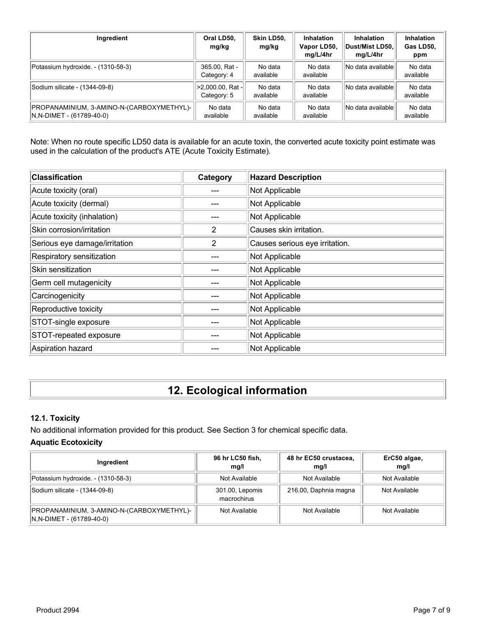| Ingredient                                                            | Oral LD50,<br>mg/kg             | Skin LD50,<br>mg/kg  | <b>Inhalation</b><br>Vapor LD50,<br>mg/L/4hr | <b>Inhalation</b><br>∣Dust/Mist LD50.∣<br>mg/L/4hr | Inhalation<br>Gas LD50,<br>ppm |
|-----------------------------------------------------------------------|---------------------------------|----------------------|----------------------------------------------|----------------------------------------------------|--------------------------------|
| Potassium hydroxide. - (1310-58-3)                                    | 365.00, Rat -<br>Category: 4    | No data<br>available | No data<br>available                         | No data available                                  | No data<br>available           |
| Sodium silicate - (1344-09-8)                                         | >2,000.00, Rat -<br>Category: 5 | No data<br>available | No data<br>available                         | No data available                                  | No data<br>available           |
| PROPANAMINIUM, 3-AMINO-N-(CARBOXYMETHYL)-<br>N,N-DIMET - (61789-40-0) | No data<br>available            | No data<br>available | No data<br>available                         | No data available                                  | No data<br>available           |

Note: When no route specific LD50 data is available for an acute toxin, the converted acute toxicity point estimate was used in the calculation of the product's ATE (Acute Toxicity Estimate).

| <b>Classification</b>         | Category | <b>Hazard Description</b>      |
|-------------------------------|----------|--------------------------------|
| Acute toxicity (oral)         |          | Not Applicable                 |
| Acute toxicity (dermal)       |          | Not Applicable                 |
| Acute toxicity (inhalation)   |          | Not Applicable                 |
| Skin corrosion/irritation     | 2        | Causes skin irritation.        |
| Serious eye damage/irritation | 2        | Causes serious eye irritation. |
| Respiratory sensitization     |          | Not Applicable                 |
| Skin sensitization            |          | Not Applicable                 |
| Germ cell mutagenicity        |          | Not Applicable                 |
| Carcinogenicity               |          | Not Applicable                 |
| Reproductive toxicity         |          | Not Applicable                 |
| STOT-single exposure          |          | Not Applicable                 |
| STOT-repeated exposure        |          | Not Applicable                 |
| Aspiration hazard             |          | Not Applicable                 |

# **12. Ecological information**

#### **12.1. Toxicity**

No additional information provided for this product. See Section 3 for chemical specific data.

### **Aquatic Ecotoxicity**

| Ingredient                                                                | 96 hr LC50 fish,<br>mq/l       | 48 hr EC50 crustacea,<br>mq/l | ErC50 algae,<br>mg/l |
|---------------------------------------------------------------------------|--------------------------------|-------------------------------|----------------------|
| Potassium hydroxide. - (1310-58-3)                                        | Not Available                  | Not Available                 | Not Available        |
| Sodium silicate - (1344-09-8)                                             | 301.00, Lepomis<br>macrochirus | 216.00, Daphnia magna         | Not Available        |
| PROPANAMINIUM, 3-AMINO-N-(CARBOXYMETHYL)-  <br>$N.N-DIMET - (61789-40-0)$ | Not Available                  | Not Available                 | Not Available        |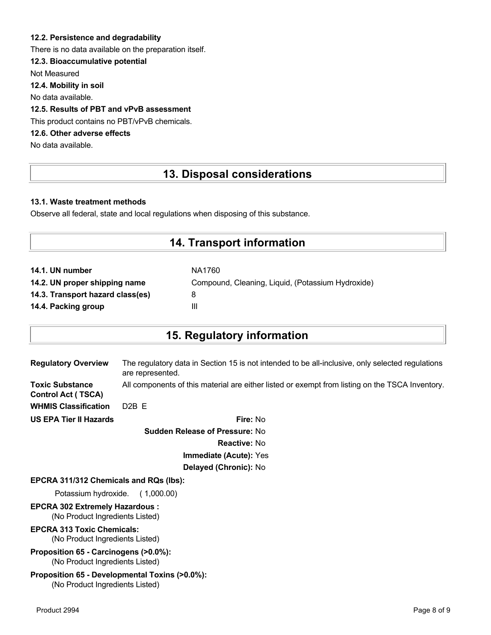#### **12.2. Persistence and degradability**

There is no data available on the preparation itself.

#### **12.3. Bioaccumulative potential**

Not Measured

**12.4. Mobility in soil**

No data available.

### **12.5. Results of PBT and vPvB assessment**

This product contains no PBT/vPvB chemicals.

### **12.6. Other adverse effects**

No data available.

## **13. Disposal considerations**

#### **13.1. Waste treatment methods**

Observe all federal, state and local regulations when disposing of this substance.

## **14. Transport information**

| 14.1. UN number                  | NA1760                                            |
|----------------------------------|---------------------------------------------------|
| 14.2. UN proper shipping name    | Compound, Cleaning, Liquid, (Potassium Hydroxide) |
| 14.3. Transport hazard class(es) |                                                   |
| 14.4. Packing group              | Ш                                                 |

## **15. Regulatory information**

| <b>Regulatory Overview</b>                          | The regulatory data in Section 15 is not intended to be all-inclusive, only selected regulations<br>are represented. |
|-----------------------------------------------------|----------------------------------------------------------------------------------------------------------------------|
| <b>Toxic Substance</b><br><b>Control Act (TSCA)</b> | All components of this material are either listed or exempt from listing on the TSCA Inventory.                      |
| <b>WHMIS Classification</b>                         | $D2B$ F                                                                                                              |
| <b>US EPA Tier II Hazards</b>                       | Fire: No                                                                                                             |
|                                                     | <b>Sudden Release of Pressure: No</b>                                                                                |

**Reactive:** No **Immediate (Acute):** Yes

# **Delayed (Chronic):** No

## **EPCRA 311/312 Chemicals and RQs (lbs):**

Potassium hydroxide. ( 1,000.00)

#### **EPCRA 302 Extremely Hazardous :** (No Product Ingredients Listed)

# **EPCRA 313 Toxic Chemicals:**

(No Product Ingredients Listed)

#### **Proposition 65 - Carcinogens (>0.0%):** (No Product Ingredients Listed)

#### **Proposition 65 - Developmental Toxins (>0.0%):** (No Product Ingredients Listed)